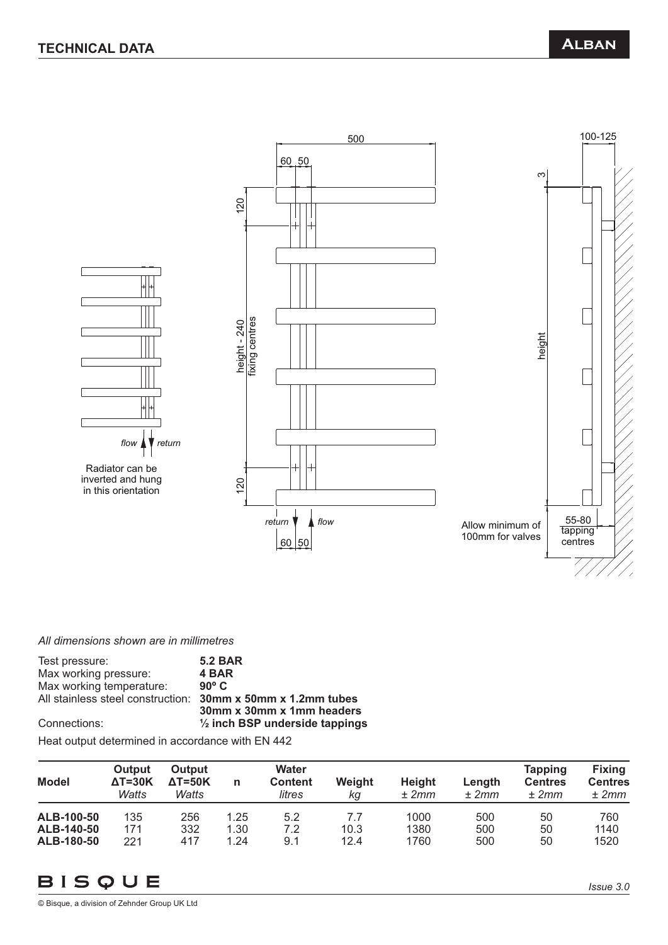

*All dimensions shown are in millimetres*

| <b>5.2 BAR</b>                            |
|-------------------------------------------|
| 4 BAR                                     |
| $90^{\circ}$ C                            |
| 30mm x 50mm x 1.2mm tubes                 |
| 30mm x 30mm x 1mm headers                 |
| $\frac{1}{2}$ inch BSP underside tappings |
|                                           |

Heat output determined in accordance with EN 442

| Model      | Output<br>$\Delta T = 30K$<br>Watts | <b>Output</b><br>$\Delta T = 50K$<br>Watts | n    | <b>Water</b><br><b>Content</b><br>litres | Weight<br>κg | <b>Height</b><br>± 2mm | Length<br>± 2mm | Tapping<br><b>Centres</b><br>± 2mm | <b>Fixing</b><br><b>Centres</b><br>± 2mm |
|------------|-------------------------------------|--------------------------------------------|------|------------------------------------------|--------------|------------------------|-----------------|------------------------------------|------------------------------------------|
| ALB-100-50 | 135                                 | 256                                        | 1.25 | 5.2                                      | 7.7          | 1000                   | 500             | 50                                 | 760                                      |
| ALB-140-50 | 171                                 | 332                                        | 1.30 | 7.2                                      | 10.3         | 1380                   | 500             | 50                                 | 1140                                     |
| ALB-180-50 | 221                                 | 417                                        | 1.24 | 9.1                                      | 12.4         | 1760                   | 500             | 50                                 | 1520                                     |

# BISQUE